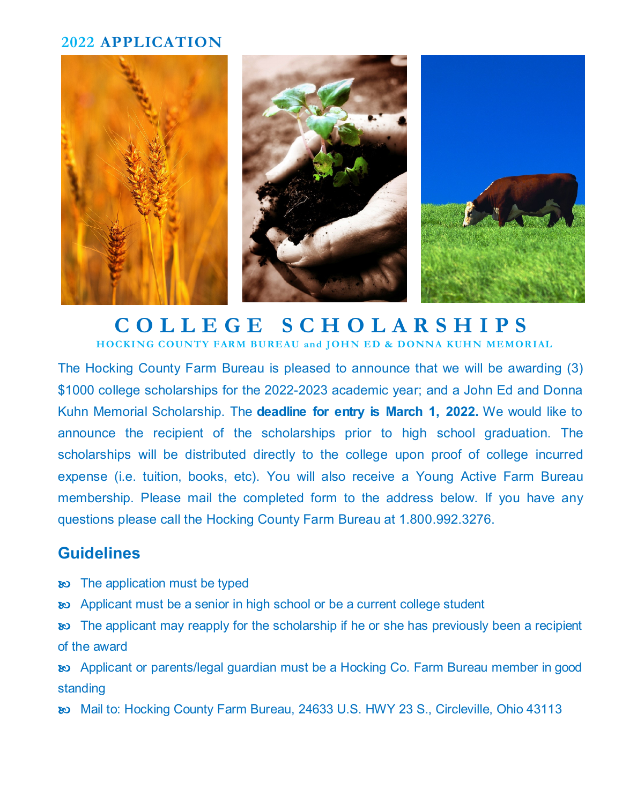## **2022 APPLICATION**



## **C O L L E G E S C H O L A R S H I P S HOCKING COUNTY FARM BUREAU and JOHN ED & DONNA KUHN MEMORIAL**

The Hocking County Farm Bureau is pleased to announce that we will be awarding (3) \$1000 college scholarships for the 2022-2023 academic year; and a John Ed and Donna Kuhn Memorial Scholarship. The **deadline for entry is March 1, 2022.** We would like to announce the recipient of the scholarships prior to high school graduation. The scholarships will be distributed directly to the college upon proof of college incurred expense (i.e. tuition, books, etc). You will also receive a Young Active Farm Bureau membership. Please mail the completed form to the address below. If you have any questions please call the Hocking County Farm Bureau at 1.800.992.3276.

## **Guidelines**

- **EXECUTE:** The application must be typed
- **EXED:** Applicant must be a senior in high school or be a current college student

**EXED:** The applicant may reapply for the scholarship if he or she has previously been a recipient of the award

 Applicant or parents/legal guardian must be a Hocking Co. Farm Bureau member in good standing

Mail to: Hocking County Farm Bureau, 24633 U.S. HWY 23 S., Circleville, Ohio 43113